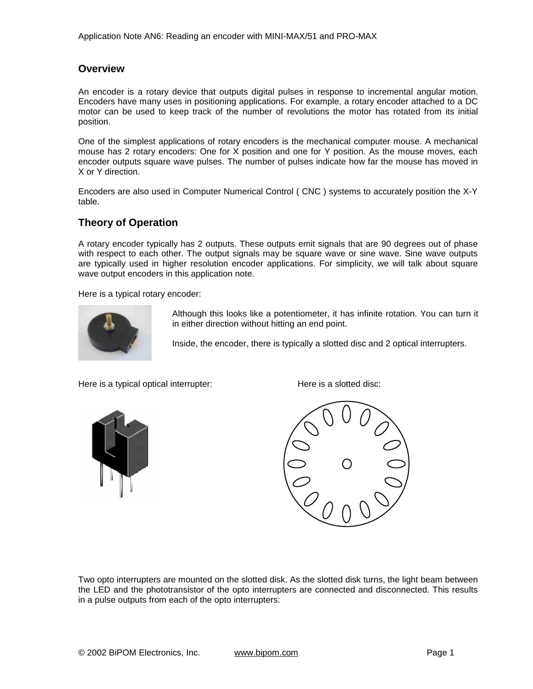### **Overview**

An encoder is a rotary device that outputs digital pulses in response to incremental angular motion. Encoders have many uses in positioning applications. For example, a rotary encoder attached to a DC motor can be used to keep track of the number of revolutions the motor has rotated from its initial position.

One of the simplest applications of rotary encoders is the mechanical computer mouse. A mechanical mouse has 2 rotary encoders: One for X position and one for Y position. As the mouse moves, each encoder outputs square wave pulses. The number of pulses indicate how far the mouse has moved in X or Y direction.

Encoders are also used in Computer Numerical Control ( CNC ) systems to accurately position the X-Y table.

## **Theory of Operation**

A rotary encoder typically has 2 outputs. These outputs emit signals that are 90 degrees out of phase with respect to each other. The output signals may be square wave or sine wave. Sine wave outputs are typically used in higher resolution encoder applications. For simplicity, we will talk about square wave output encoders in this application note.

Here is a typical rotary encoder:



Although this looks like a potentiometer, it has infinite rotation. You can turn it in either direction without hitting an end point.

Inside, the encoder, there is typically a slotted disc and 2 optical interrupters.

Here is a typical optical interrupter: Here is a slotted disc:







Two opto interrupters are mounted on the slotted disk. As the slotted disk turns, the light beam between the LED and the phototransistor of the opto interrupters are connected and disconnected. This results in a pulse outputs from each of the opto interrupters: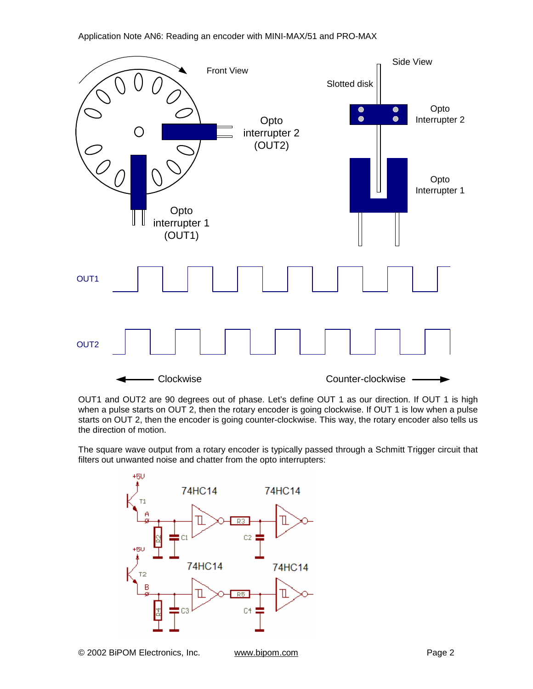

OUT1 and OUT2 are 90 degrees out of phase. Let's define OUT 1 as our direction. If OUT 1 is high when a pulse starts on OUT 2, then the rotary encoder is going clockwise. If OUT 1 is low when a pulse starts on OUT 2, then the encoder is going counter-clockwise. This way, the rotary encoder also tells us the direction of motion.

The square wave output from a rotary encoder is typically passed through a Schmitt Trigger circuit that filters out unwanted noise and chatter from the opto interrupters:

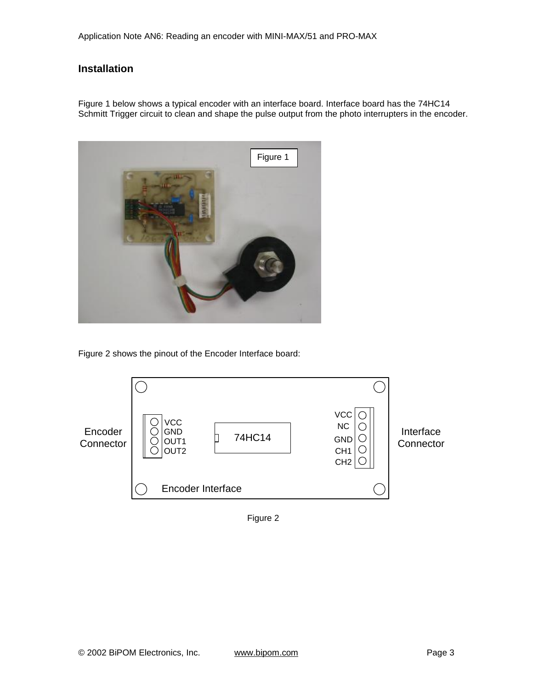# **Installation**

Figure 1 below shows a typical encoder with an interface board. Interface board has the 74HC14 Schmitt Trigger circuit to clean and shape the pulse output from the photo interrupters in the encoder.



Figure 2 shows the pinout of the Encoder Interface board:



Figure 2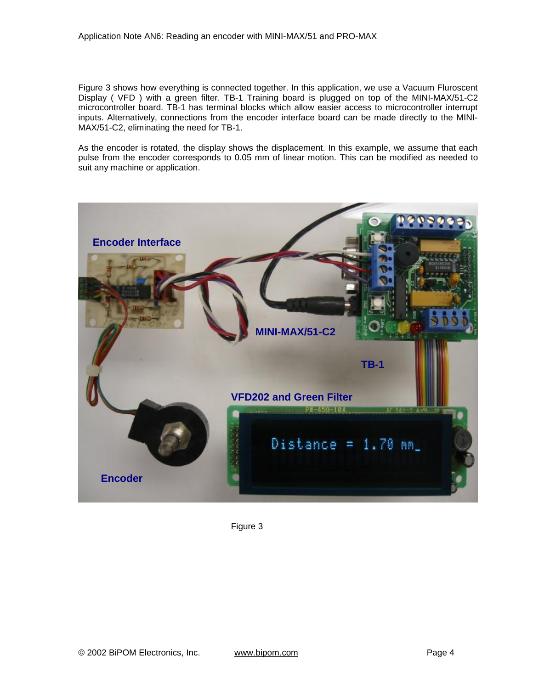Figure 3 shows how everything is connected together. In this application, we use a Vacuum Fluroscent Display ( VFD ) with a green filter. TB-1 Training board is plugged on top of the MINI-MAX/51-C2 microcontroller board. TB-1 has terminal blocks which allow easier access to microcontroller interrupt inputs. Alternatively, connections from the encoder interface board can be made directly to the MINI-MAX/51-C2, eliminating the need for TB-1.

As the encoder is rotated, the display shows the displacement. In this example, we assume that each pulse from the encoder corresponds to 0.05 mm of linear motion. This can be modified as needed to suit any machine or application.



Figure 3